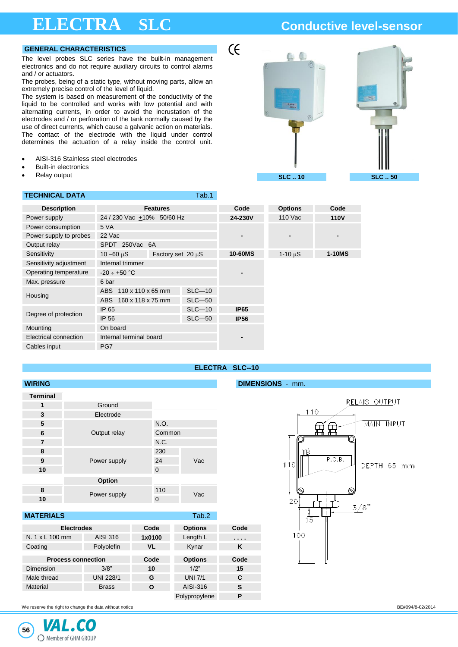# **ELECTRA SLC Conductive level-sensor**

### **GENERAL CHARACTERISTICS**

The level probes SLC series have the built-in management electronics and do not require auxiliary circuits to control alarms and / or actuators.

The probes, being of a static type, without moving parts, allow an extremely precise control of the level of liquid.

The system is based on measurement of the conductivity of the liquid to be controlled and works with low potential and with alternating currents, in order to avoid the incrustation of the electrodes and / or perforation of the tank normally caused by the use of direct currents, which cause a galvanic action on materials. The contact of the electrode with the liquid under control determines the actuation of a relay inside the control unit.

- AISI-316 Stainless steel electrodes
- **Built-in electronics**
- Relay output

# **TECHNICAL DATA TECHNICAL DATA**



| <b>Description</b>     |                                       | <b>Features</b>   |            | Code           | <b>Options</b> | Code          |
|------------------------|---------------------------------------|-------------------|------------|----------------|----------------|---------------|
| Power supply           | 24 / 230 Vac +10% 50/60 Hz            |                   |            | 24-230V        | 110 Vac        | <b>110V</b>   |
| Power consumption      | 5 VA                                  |                   |            |                |                |               |
| Power supply to probes | 22 Vac                                |                   |            | $\blacksquare$ |                |               |
| Output relay           | SPDT 250Vac 6A                        |                   |            |                |                |               |
| Sensitivity            | $10 - 60 \text{ }\mu\text{S}$         | Factory set 20 µS |            | 10-60MS        | $1 - 10 \mu S$ | <b>1-10MS</b> |
| Sensitivity adjustment | Internal trimmer                      |                   |            |                |                |               |
| Operating temperature  | $-20 \div +50$ °C                     |                   |            |                |                |               |
| Max. pressure          | 6 bar                                 |                   |            |                |                |               |
|                        | $110 \times 110 \times 65$ mm<br>ABS. |                   | $SLC-10$   |                |                |               |
| Housing                | 160 x 118 x 75 mm<br>ABS              |                   | $SLC - 50$ |                |                |               |
|                        | IP 65                                 |                   | $SLC-10$   | <b>IP65</b>    |                |               |
| Degree of protection   | IP 56                                 |                   | $SLC - 50$ | <b>IP56</b>    |                |               |
| Mounting               | On board                              |                   |            |                |                |               |
| Electrical connection  | Internal terminal board               |                   |            |                |                |               |
| Cables input           | PG7                                   |                   |            |                |                |               |

# **ELECTRA SLC--10**

 $\epsilon$ 

## **WIRING DIMENSIONS** - mm.

| <b>Terminal</b> |              |          |     |  |
|-----------------|--------------|----------|-----|--|
| 1               | Ground       |          |     |  |
| 3               | Electrode    |          |     |  |
| 5               |              | N.O.     |     |  |
| 6               | Output relay | Common   |     |  |
| 7               |              | N.C.     |     |  |
| 8               |              | 230      |     |  |
| 9               | Power supply | 24       | Vac |  |
| 10              |              | $\Omega$ |     |  |
|                 | Option       |          |     |  |
| 8               | Power supply | 110      | Vac |  |
| 10              |              | 0        |     |  |

# **MATERIALS Tab.2 Electrodes Code Options Code** N. 1 x L 100 mm AISI 316 **1x0100** Length L **. . . .** Coating Polyolefin **VL** Kynar **K Process connection Code Options Code** Dimension 3/8" **10** 1/2" **15** Male thread UNI 228/1 **G** UNI 7/1 **C** Material Brass **O** AISI-316 **S** Polypropylene **P**



We reserve the right to change the data without notice **BE#094/8-02/2014** CHANGER SECTION CHANGER SECTION ASSESSED FOR A SECTION CHANGER SECTION CHANGER SECTION CHANGER SECTION CHANGER SECTION CHANGER SECTION CHANGER SECTI